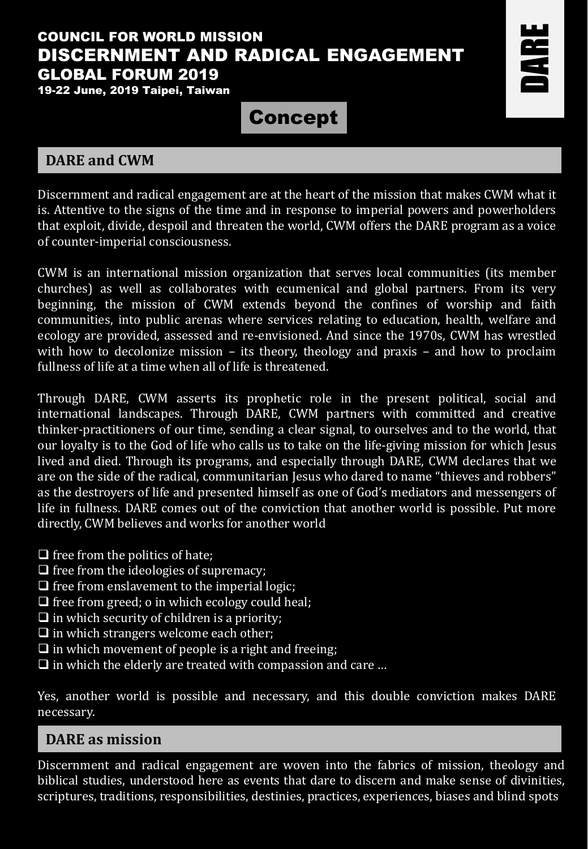# COUNCIL FOR WORLD MISSION DISCERNMENT AND RADICAL ENGAGEMENT GLOBAL FORUM 2019

19-22 June, 2019 Taipei, Taiwan

Concept

# **DARE and CWM**

DARE

Discernment and radical engagement are at the heart of the mission that makes CWM what it is. Attentive to the signs of the time and in response to imperial powers and powerholders that exploit, divide, despoil and threaten the world, CWM offers the DARE program as a voice of counter-imperial consciousness.

CWM is an international mission organization that serves local communities (its member churches) as well as collaborates with ecumenical and global partners. From its very beginning, the mission of CWM extends beyond the confines of worship and faith communities, into public arenas where services relating to education, health, welfare and ecology are provided, assessed and re-envisioned. And since the 1970s, CWM has wrestled with how to decolonize mission – its theory, theology and praxis – and how to proclaim fullness of life at a time when all of life is threatened.

Through DARE, CWM asserts its prophetic role in the present political, social and international landscapes. Through DARE, CWM partners with committed and creative thinker-practitioners of our time, sending a clear signal, to ourselves and to the world, that our loyalty is to the God of life who calls us to take on the life-giving mission for which Jesus lived and died. Through its programs, and especially through DARE, CWM declares that we are on the side of the radical, communitarian Jesus who dared to name "thieves and robbers" as the destroyers of life and presented himself as one of God's mediators and messengers of life in fullness. DARE comes out of the conviction that another world is possible. Put more directly, CWM believes and works for another world

- $\Box$  free from the politics of hate;
- $\Box$  free from the ideologies of supremacy;
- $\Box$  free from enslavement to the imperial logic;
- $\Box$  free from greed; o in which ecology could heal;
- $\Box$  in which security of children is a priority;
- $\Box$  in which strangers welcome each other;
- $\Box$  in which movement of people is a right and freeing;
- $\Box$  in which the elderly are treated with compassion and care ...

Yes, another world is possible and necessary, and this double conviction makes DARE necessary.

## **DARE as mission**

Discernment and radical engagement are woven into the fabrics of mission, theology and biblical studies, understood here as events that dare to discern and make sense of divinities, scriptures, traditions, responsibilities, destinies, practices, experiences, biases and blind spots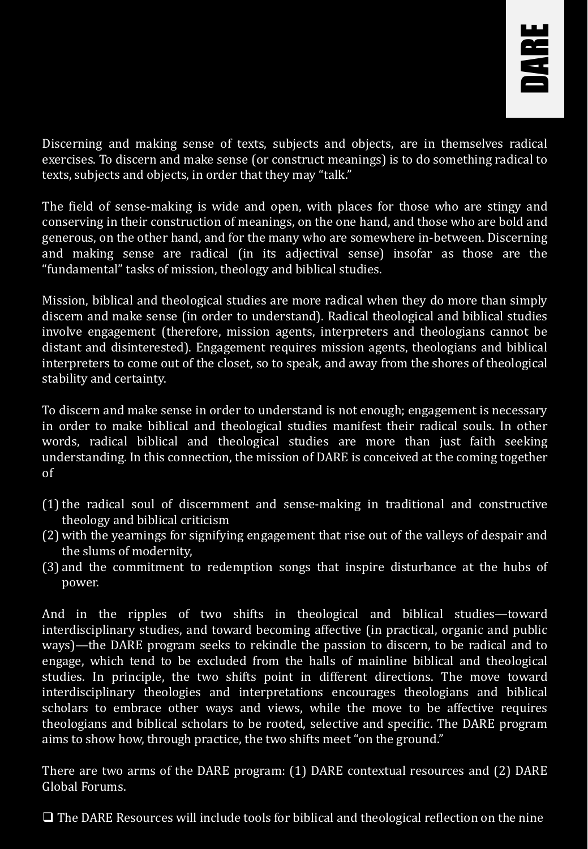

Discerning and making sense of texts, subjects and objects, are in themselves radical exercises. To discern and make sense (or construct meanings) is to do something radical to texts, subjects and objects, in order that they may "talk."

The field of sense-making is wide and open, with places for those who are stingy and conserving in their construction of meanings, on the one hand, and those who are bold and generous, on the other hand, and for the many who are somewhere in-between. Discerning and making sense are radical (in its adjectival sense) insofar as those are the "fundamental" tasks of mission, theology and biblical studies.

Mission, biblical and theological studies are more radical when they do more than simply discern and make sense (in order to understand). Radical theological and biblical studies involve engagement (therefore, mission agents, interpreters and theologians cannot be distant and disinterested). Engagement requires mission agents, theologians and biblical interpreters to come out of the closet, so to speak, and away from the shores of theological stability and certainty.

To discern and make sense in order to understand is not enough; engagement is necessary in order to make biblical and theological studies manifest their radical souls. In other words, radical biblical and theological studies are more than just faith seeking understanding. In this connection, the mission of DARE is conceived at the coming together of

- (1)the radical soul of discernment and sense-making in traditional and constructive theology and biblical criticism
- (2) with the yearnings for signifying engagement that rise out of the valleys of despair and the slums of modernity,
- (3) and the commitment to redemption songs that inspire disturbance at the hubs of power.

And in the ripples of two shifts in theological and biblical studies—toward interdisciplinary studies, and toward becoming affective (in practical, organic and public ways)—the DARE program seeks to rekindle the passion to discern, to be radical and to engage, which tend to be excluded from the halls of mainline biblical and theological studies. In principle, the two shifts point in different directions. The move toward interdisciplinary theologies and interpretations encourages theologians and biblical scholars to embrace other ways and views, while the move to be affective requires theologians and biblical scholars to be rooted, selective and specific. The DARE program aims to show how, through practice, the two shifts meet "on the ground."

There are two arms of the DARE program: (1) DARE contextual resources and (2) DARE Global Forums.

❑ The DARE Resources will include tools for biblical and theological reflection on the nine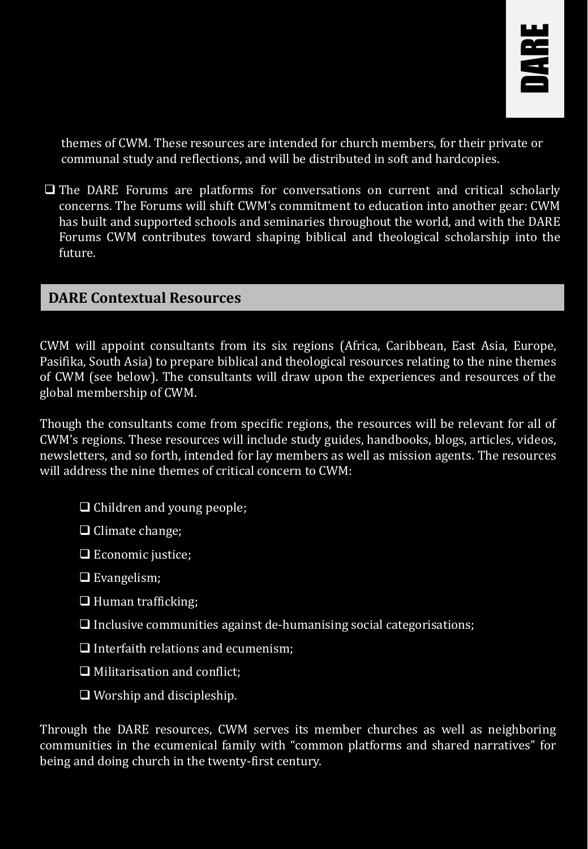

themes of CWM. These resources are intended for church members, for their private or communal study and reflections, and will be distributed in soft and hardcopies.

❑ The DARE Forums are platforms for conversations on current and critical scholarly concerns. The Forums will shift CWM's commitment to education into another gear: CWM has built and supported schools and seminaries throughout the world, and with the DARE Forums CWM contributes toward shaping biblical and theological scholarship into the future.

#### **DARE Contextual Resources**

CWM will appoint consultants from its six regions (Africa, Caribbean, East Asia, Europe, Pasifika, South Asia) to prepare biblical and theological resources relating to the nine themes of CWM (see below). The consultants will draw upon the experiences and resources of the global membership of CWM.

Though the consultants come from specific regions, the resources will be relevant for all of CWM's regions. These resources will include study guides, handbooks, blogs, articles, videos, newsletters, and so forth, intended for lay members as well as mission agents. The resources will address the nine themes of critical concern to CWM:

- ❑ Children and young people;
- ❑ Climate change;
- □ Economic justice;
- ❑ Evangelism;
- ❑ Human trafficking;
- $\Box$  Inclusive communities against de-humanising social categorisations;
- ❑ Interfaith relations and ecumenism;
- ❑ Militarisation and conflict;
- ❑ Worship and discipleship.

Through the DARE resources, CWM serves its member churches as well as neighboring communities in the ecumenical family with "common platforms and shared narratives" for being and doing church in the twenty-first century.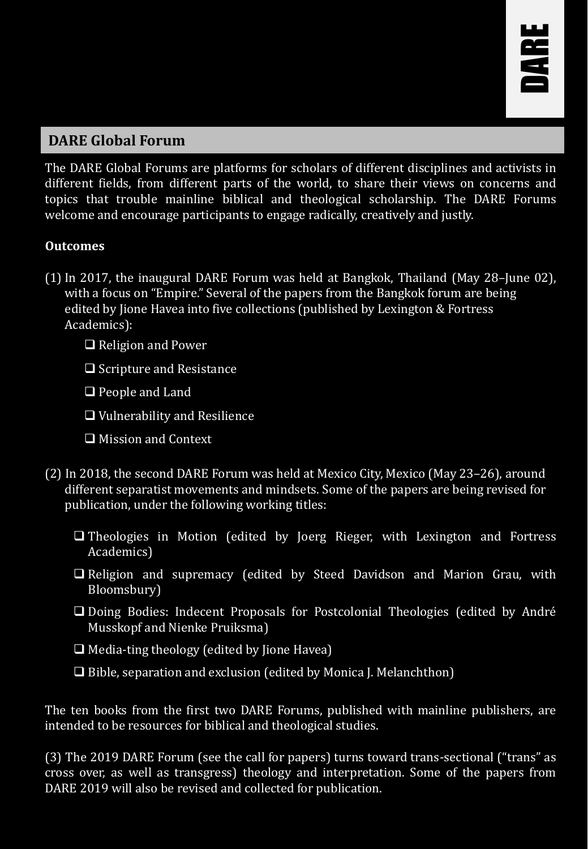

# **DARE Global Forum**

The DARE Global Forums are platforms for scholars of different disciplines and activists in different fields, from different parts of the world, to share their views on concerns and topics that trouble mainline biblical and theological scholarship. The DARE Forums welcome and encourage participants to engage radically, creatively and justly.

#### **Outcomes**

- (1)In 2017, the inaugural DARE Forum was held at Bangkok, Thailand (May 28–June 02), with a focus on "Empire." Several of the papers from the Bangkok forum are being edited by Jione Havea into five collections (published by Lexington & Fortress Academics):
	- ❑ Religion and Power
	- ❑ Scripture and Resistance
	- ❑ People and Land
	- ❑ Vulnerability and Resilience
	- ❑ Mission and Context
- (2) In 2018, the second DARE Forum was held at Mexico City, Mexico (May 23–26), around different separatist movements and mindsets. Some of the papers are being revised for publication, under the following working titles:
	- ❑ Theologies in Motion (edited by Joerg Rieger, with Lexington and Fortress Academics)
	- ❑ Religion and supremacy (edited by Steed Davidson and Marion Grau, with Bloomsbury)
	- ❑ Doing Bodies: Indecent Proposals for Postcolonial Theologies (edited by André Musskopf and Nienke Pruiksma)
	- ❑ Media-ting theology (edited by Jione Havea)
	- ❑ Bible, separation and exclusion (edited by Monica J. Melanchthon)

The ten books from the first two DARE Forums, published with mainline publishers, are intended to be resources for biblical and theological studies.

(3) The 2019 DARE Forum (see the call for papers) turns toward trans-sectional ("trans" as cross over, as well as transgress) theology and interpretation. Some of the papers from DARE 2019 will also be revised and collected for publication.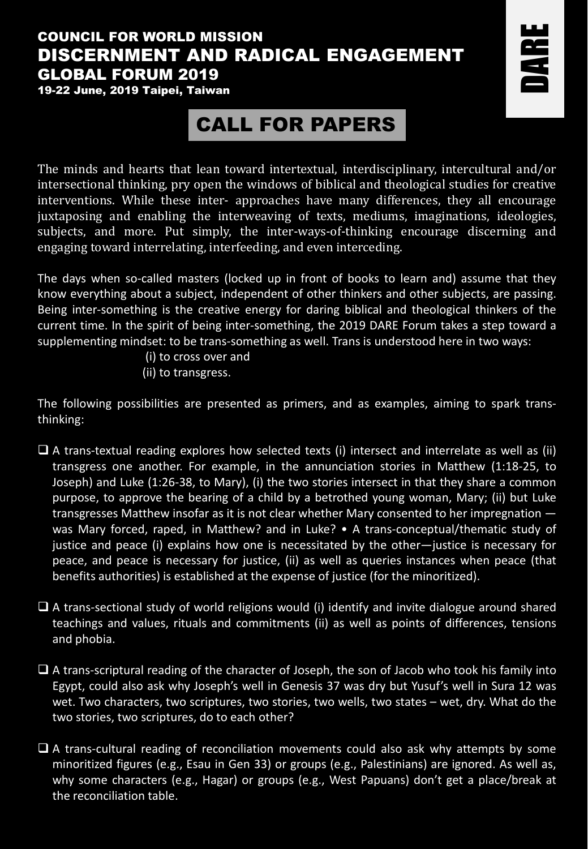## COUNCIL FOR WORLD MISSION DISCERNMENT AND RADICAL ENGAGEMENT GLOBAL FORUM 2019

DARE

19-22 June, 2019 Taipei, Taiwan

# CALL FOR PAPERS

The minds and hearts that lean toward intertextual, interdisciplinary, intercultural and/or intersectional thinking, pry open the windows of biblical and theological studies for creative interventions. While these inter- approaches have many differences, they all encourage juxtaposing and enabling the interweaving of texts, mediums, imaginations, ideologies, subjects, and more. Put simply, the inter-ways-of-thinking encourage discerning and engaging toward interrelating, interfeeding, and even interceding.

The days when so-called masters (locked up in front of books to learn and) assume that they know everything about a subject, independent of other thinkers and other subjects, are passing. Being inter-something is the creative energy for daring biblical and theological thinkers of the current time. In the spirit of being inter-something, the 2019 DARE Forum takes a step toward a supplementing mindset: to be trans-something as well. Trans is understood here in two ways:

- (i) to cross over and
- (ii) to transgress.

The following possibilities are presented as primers, and as examples, aiming to spark transthinking:

- $\square$  A trans-textual reading explores how selected texts (i) intersect and interrelate as well as (ii) transgress one another. For example, in the annunciation stories in Matthew (1:18-25, to Joseph) and Luke (1:26-38, to Mary), (i) the two stories intersect in that they share a common purpose, to approve the bearing of a child by a betrothed young woman, Mary; (ii) but Luke transgresses Matthew insofar as it is not clear whether Mary consented to her impregnation was Mary forced, raped, in Matthew? and in Luke? • A trans-conceptual/thematic study of justice and peace (i) explains how one is necessitated by the other—justice is necessary for peace, and peace is necessary for justice, (ii) as well as queries instances when peace (that benefits authorities) is established at the expense of justice (for the minoritized).
- $\Box$  A trans-sectional study of world religions would (i) identify and invite dialogue around shared teachings and values, rituals and commitments (ii) as well as points of differences, tensions and phobia.
- ❑ A trans-scriptural reading of the character of Joseph, the son of Jacob who took his family into Egypt, could also ask why Joseph's well in Genesis 37 was dry but Yusuf's well in Sura 12 was wet. Two characters, two scriptures, two stories, two wells, two states – wet, dry. What do the two stories, two scriptures, do to each other?
- ❑ A trans-cultural reading of reconciliation movements could also ask why attempts by some minoritized figures (e.g., Esau in Gen 33) or groups (e.g., Palestinians) are ignored. As well as, why some characters (e.g., Hagar) or groups (e.g., West Papuans) don't get a place/break at the reconciliation table.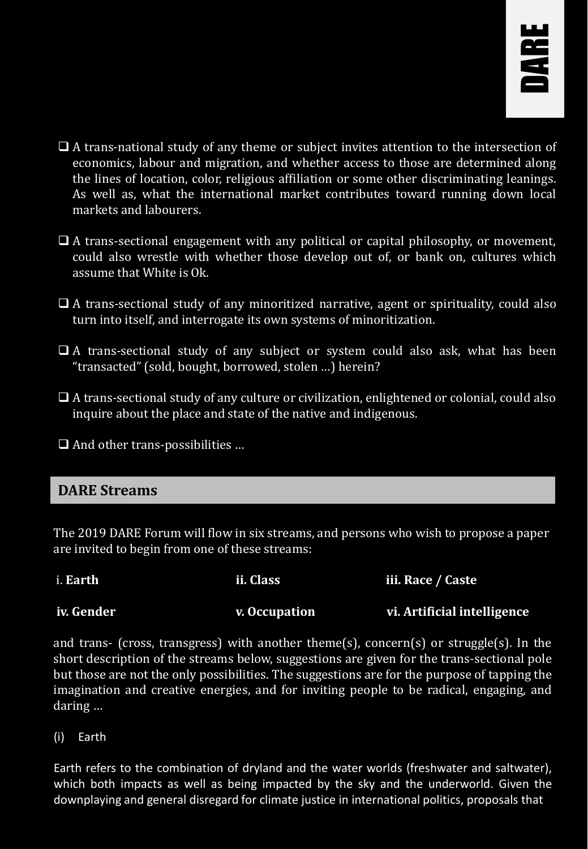

- ❑ A trans-national study of any theme or subject invites attention to the intersection of economics, labour and migration, and whether access to those are determined along the lines of location, color, religious affiliation or some other discriminating leanings. As well as, what the international market contributes toward running down local markets and labourers.
- ❑ A trans-sectional engagement with any political or capital philosophy, or movement, could also wrestle with whether those develop out of, or bank on, cultures which assume that White is Ok.
- ❑ A trans-sectional study of any minoritized narrative, agent or spirituality, could also turn into itself, and interrogate its own systems of minoritization.
- □ A trans-sectional study of any subject or system could also ask, what has been "transacted" (sold, bought, borrowed, stolen …) herein?
- ❑ A trans-sectional study of any culture or civilization, enlightened or colonial, could also inquire about the place and state of the native and indigenous.
- ❑ And other trans-possibilities …

#### **DARE Streams**

The 2019 DARE Forum will flow in six streams, and persons who wish to propose a paper are invited to begin from one of these streams:

| i. Earth   | ii. Class     | iii. Race / Caste           |
|------------|---------------|-----------------------------|
| iv. Gender | v. Occupation | vi. Artificial intelligence |

and trans- (cross, transgress) with another theme(s), concern(s) or struggle(s). In the short description of the streams below, suggestions are given for the trans-sectional pole but those are not the only possibilities. The suggestions are for the purpose of tapping the imagination and creative energies, and for inviting people to be radical, engaging, and daring …

(i) Earth

Earth refers to the combination of dryland and the water worlds (freshwater and saltwater), which both impacts as well as being impacted by the sky and the underworld. Given the downplaying and general disregard for climate justice in international politics, proposals that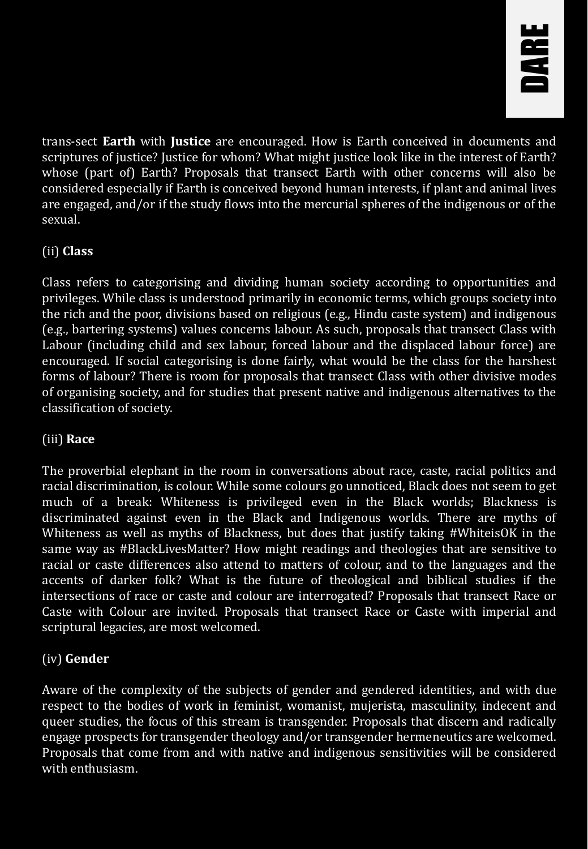

trans-sect **Earth** with **Justice** are encouraged. How is Earth conceived in documents and scriptures of justice? Justice for whom? What might justice look like in the interest of Earth? whose (part of) Earth? Proposals that transect Earth with other concerns will also be considered especially if Earth is conceived beyond human interests, if plant and animal lives are engaged, and/or if the study flows into the mercurial spheres of the indigenous or of the sexual.

#### (ii) **Class**

Class refers to categorising and dividing human society according to opportunities and privileges. While class is understood primarily in economic terms, which groups society into the rich and the poor, divisions based on religious (e.g., Hindu caste system) and indigenous (e.g., bartering systems) values concerns labour. As such, proposals that transect Class with Labour (including child and sex labour, forced labour and the displaced labour force) are encouraged. If social categorising is done fairly, what would be the class for the harshest forms of labour? There is room for proposals that transect Class with other divisive modes of organising society, and for studies that present native and indigenous alternatives to the classification of society.

#### (iii) **Race**

The proverbial elephant in the room in conversations about race, caste, racial politics and racial discrimination, is colour. While some colours go unnoticed, Black does not seem to get much of a break: Whiteness is privileged even in the Black worlds; Blackness is discriminated against even in the Black and Indigenous worlds. There are myths of Whiteness as well as myths of Blackness, but does that justify taking #WhiteisOK in the same way as #BlackLivesMatter? How might readings and theologies that are sensitive to racial or caste differences also attend to matters of colour, and to the languages and the accents of darker folk? What is the future of theological and biblical studies if the intersections of race or caste and colour are interrogated? Proposals that transect Race or Caste with Colour are invited. Proposals that transect Race or Caste with imperial and scriptural legacies, are most welcomed.

#### (iv) **Gender**

Aware of the complexity of the subjects of gender and gendered identities, and with due respect to the bodies of work in feminist, womanist, mujerista, masculinity, indecent and queer studies, the focus of this stream is transgender. Proposals that discern and radically engage prospects for transgender theology and/or transgender hermeneutics are welcomed. Proposals that come from and with native and indigenous sensitivities will be considered with enthusiasm.